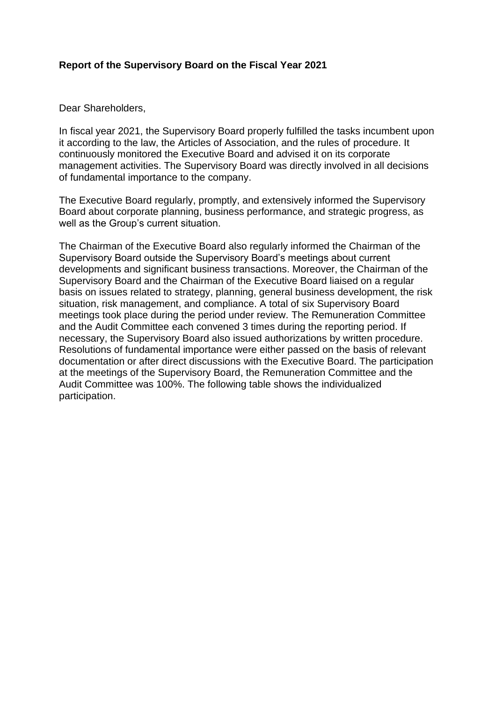#### **Report of the Supervisory Board on the Fiscal Year 2021**

Dear Shareholders,

In fiscal year 2021, the Supervisory Board properly fulfilled the tasks incumbent upon it according to the law, the Articles of Association, and the rules of procedure. It continuously monitored the Executive Board and advised it on its corporate management activities. The Supervisory Board was directly involved in all decisions of fundamental importance to the company.

The Executive Board regularly, promptly, and extensively informed the Supervisory Board about corporate planning, business performance, and strategic progress, as well as the Group's current situation.

The Chairman of the Executive Board also regularly informed the Chairman of the Supervisory Board outside the Supervisory Board's meetings about current developments and significant business transactions. Moreover, the Chairman of the Supervisory Board and the Chairman of the Executive Board liaised on a regular basis on issues related to strategy, planning, general business development, the risk situation, risk management, and compliance. A total of six Supervisory Board meetings took place during the period under review. The Remuneration Committee and the Audit Committee each convened 3 times during the reporting period. If necessary, the Supervisory Board also issued authorizations by written procedure. Resolutions of fundamental importance were either passed on the basis of relevant documentation or after direct discussions with the Executive Board. The participation at the meetings of the Supervisory Board, the Remuneration Committee and the Audit Committee was 100%. The following table shows the individualized participation.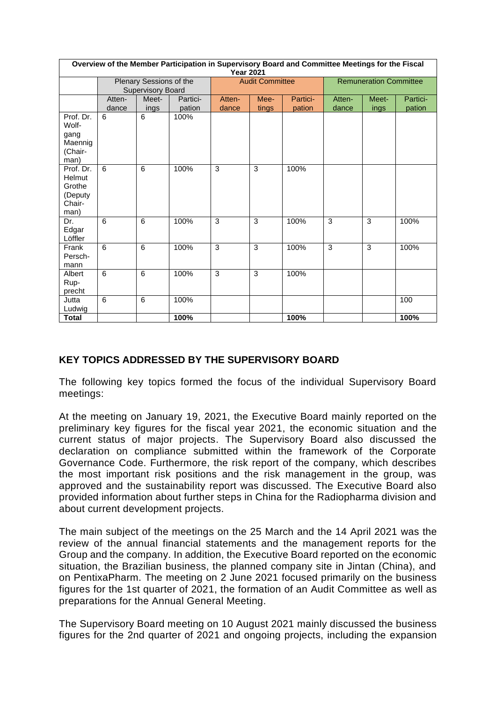| Overview of the Member Participation in Supervisory Board and Committee Meetings for the Fiscal<br><b>Year 2021</b> |                          |       |          |                        |       |          |                               |       |          |
|---------------------------------------------------------------------------------------------------------------------|--------------------------|-------|----------|------------------------|-------|----------|-------------------------------|-------|----------|
|                                                                                                                     | Plenary Sessions of the  |       |          | <b>Audit Committee</b> |       |          | <b>Remuneration Committee</b> |       |          |
|                                                                                                                     | <b>Supervisory Board</b> |       |          |                        |       |          |                               |       |          |
|                                                                                                                     | Atten-                   | Meet- | Partici- | Atten-                 | Mee-  | Partici- | Atten-                        | Meet- | Partici- |
|                                                                                                                     | dance                    | ings  | pation   | dance                  | tings | pation   | dance                         | ings  | pation   |
| Prof. Dr.<br>Wolf-                                                                                                  | 6                        | 6     | 100%     |                        |       |          |                               |       |          |
| gang<br>Maennig<br>(Chair-                                                                                          |                          |       |          |                        |       |          |                               |       |          |
| man)                                                                                                                |                          |       |          |                        |       |          |                               |       |          |
| Prof. Dr.<br>Helmut<br>Grothe                                                                                       | 6                        | 6     | 100%     | 3                      | 3     | 100%     |                               |       |          |
| (Deputy<br>Chair-<br>man)                                                                                           |                          |       |          |                        |       |          |                               |       |          |
| Dr.<br>Edgar<br>Löffler                                                                                             | 6                        | 6     | 100%     | 3                      | 3     | 100%     | 3                             | 3     | 100%     |
| Frank<br>Persch-<br>mann                                                                                            | 6                        | 6     | 100%     | 3                      | 3     | 100%     | 3                             | 3     | 100%     |
| Albert<br>Rup-<br>precht                                                                                            | 6                        | 6     | 100%     | 3                      | 3     | 100%     |                               |       |          |
| Jutta<br>Ludwig                                                                                                     | 6                        | 6     | 100%     |                        |       |          |                               |       | 100      |
| <b>Total</b>                                                                                                        |                          |       | 100%     |                        |       | 100%     |                               |       | 100%     |

## **KEY TOPICS ADDRESSED BY THE SUPERVISORY BOARD**

The following key topics formed the focus of the individual Supervisory Board meetings:

At the meeting on January 19, 2021, the Executive Board mainly reported on the preliminary key figures for the fiscal year 2021, the economic situation and the current status of major projects. The Supervisory Board also discussed the declaration on compliance submitted within the framework of the Corporate Governance Code. Furthermore, the risk report of the company, which describes the most important risk positions and the risk management in the group, was approved and the sustainability report was discussed. The Executive Board also provided information about further steps in China for the Radiopharma division and about current development projects.

The main subject of the meetings on the 25 March and the 14 April 2021 was the review of the annual financial statements and the management reports for the Group and the company. In addition, the Executive Board reported on the economic situation, the Brazilian business, the planned company site in Jintan (China), and on PentixaPharm. The meeting on 2 June 2021 focused primarily on the business figures for the 1st quarter of 2021, the formation of an Audit Committee as well as preparations for the Annual General Meeting.

The Supervisory Board meeting on 10 August 2021 mainly discussed the business figures for the 2nd quarter of 2021 and ongoing projects, including the expansion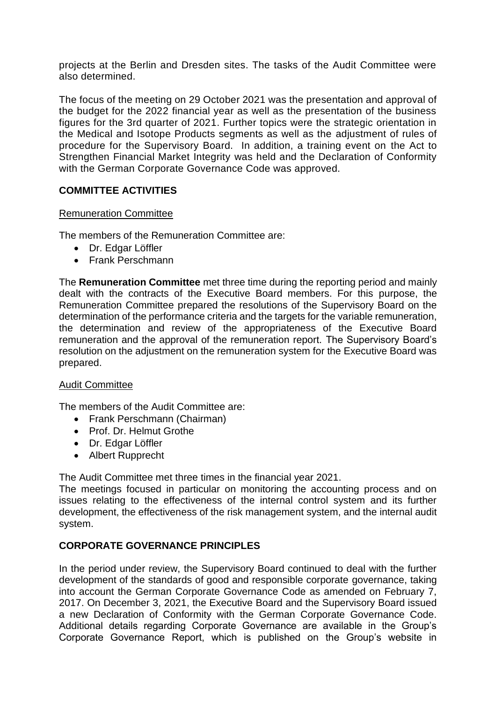projects at the Berlin and Dresden sites. The tasks of the Audit Committee were also determined.

The focus of the meeting on 29 October 2021 was the presentation and approval of the budget for the 2022 financial year as well as the presentation of the business figures for the 3rd quarter of 2021. Further topics were the strategic orientation in the Medical and Isotope Products segments as well as the adjustment of rules of procedure for the Supervisory Board. In addition, a training event on the Act to Strengthen Financial Market Integrity was held and the Declaration of Conformity with the German Corporate Governance Code was approved.

## **COMMITTEE ACTIVITIES**

#### Remuneration Committee

The members of the Remuneration Committee are:

- Dr. Edgar Löffler
- Frank Perschmann

The **Remuneration Committee** met three time during the reporting period and mainly dealt with the contracts of the Executive Board members. For this purpose, the Remuneration Committee prepared the resolutions of the Supervisory Board on the determination of the performance criteria and the targets for the variable remuneration, the determination and review of the appropriateness of the Executive Board remuneration and the approval of the remuneration report. The Supervisory Board's resolution on the adjustment on the remuneration system for the Executive Board was prepared.

#### Audit Committee

The members of the Audit Committee are:

- Frank Perschmann (Chairman)
- Prof. Dr. Helmut Grothe
- Dr. Edgar Löffler
- Albert Rupprecht

The Audit Committee met three times in the financial year 2021.

The meetings focused in particular on monitoring the accounting process and on issues relating to the effectiveness of the internal control system and its further development, the effectiveness of the risk management system, and the internal audit system.

#### **CORPORATE GOVERNANCE PRINCIPLES**

In the period under review, the Supervisory Board continued to deal with the further development of the standards of good and responsible corporate governance, taking into account the German Corporate Governance Code as amended on February 7, 2017. On December 3, 2021, the Executive Board and the Supervisory Board issued a new Declaration of Conformity with the German Corporate Governance Code. Additional details regarding Corporate Governance are available in the Group's Corporate Governance Report, which is published on the Group's website in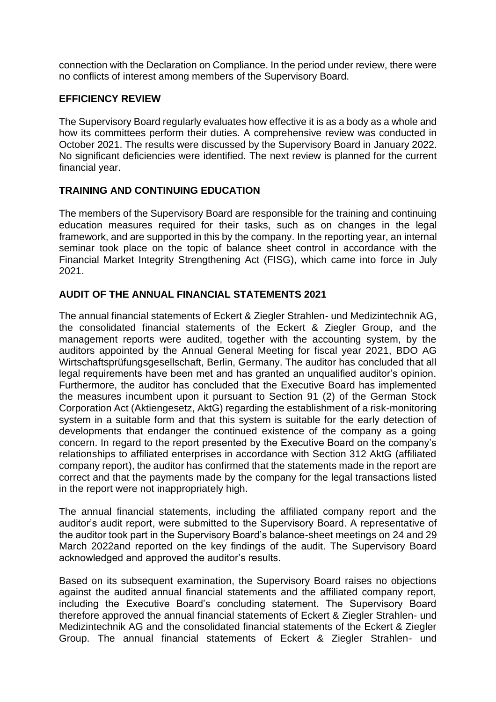connection with the Declaration on Compliance. In the period under review, there were no conflicts of interest among members of the Supervisory Board.

## **EFFICIENCY REVIEW**

The Supervisory Board regularly evaluates how effective it is as a body as a whole and how its committees perform their duties. A comprehensive review was conducted in October 2021. The results were discussed by the Supervisory Board in January 2022. No significant deficiencies were identified. The next review is planned for the current financial year.

# **TRAINING AND CONTINUING EDUCATION**

The members of the Supervisory Board are responsible for the training and continuing education measures required for their tasks, such as on changes in the legal framework, and are supported in this by the company. In the reporting year, an internal seminar took place on the topic of balance sheet control in accordance with the Financial Market Integrity Strengthening Act (FISG), which came into force in July 2021.

## **AUDIT OF THE ANNUAL FINANCIAL STATEMENTS 2021**

The annual financial statements of Eckert & Ziegler Strahlen- und Medizintechnik AG, the consolidated financial statements of the Eckert & Ziegler Group, and the management reports were audited, together with the accounting system, by the auditors appointed by the Annual General Meeting for fiscal year 2021, BDO AG Wirtschaftsprüfungsgesellschaft, Berlin, Germany. The auditor has concluded that all legal requirements have been met and has granted an unqualified auditor's opinion. Furthermore, the auditor has concluded that the Executive Board has implemented the measures incumbent upon it pursuant to Section 91 (2) of the German Stock Corporation Act (Aktiengesetz, AktG) regarding the establishment of a risk-monitoring system in a suitable form and that this system is suitable for the early detection of developments that endanger the continued existence of the company as a going concern. In regard to the report presented by the Executive Board on the company's relationships to affiliated enterprises in accordance with Section 312 AktG (affiliated company report), the auditor has confirmed that the statements made in the report are correct and that the payments made by the company for the legal transactions listed in the report were not inappropriately high.

The annual financial statements, including the affiliated company report and the auditor's audit report, were submitted to the Supervisory Board. A representative of the auditor took part in the Supervisory Board's balance-sheet meetings on 24 and 29 March 2022and reported on the key findings of the audit. The Supervisory Board acknowledged and approved the auditor's results.

Based on its subsequent examination, the Supervisory Board raises no objections against the audited annual financial statements and the affiliated company report, including the Executive Board's concluding statement. The Supervisory Board therefore approved the annual financial statements of Eckert & Ziegler Strahlen- und Medizintechnik AG and the consolidated financial statements of the Eckert & Ziegler Group. The annual financial statements of Eckert & Ziegler Strahlen- und